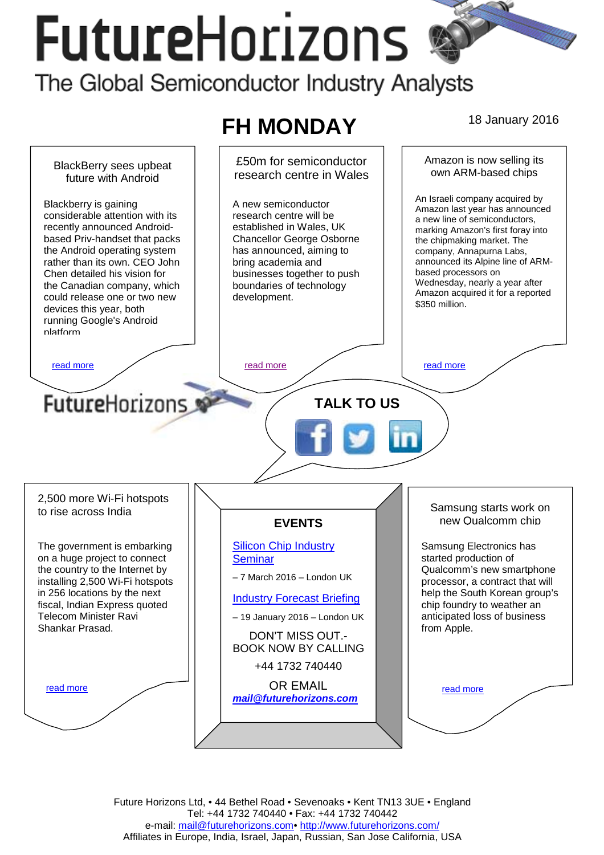# **FutureHorizons** The Global Semiconductor Industry Analysts

#### **FH MONDAY** 18 January 2016 £50m for semiconductor Amazon is now selling its BlackBerry sees upbeat own ARM-based chips research centre in Wales future with Android An Israeli company acquired by Blackberry is gaining A new semiconductor Amazon last year has announced considerable attention with its research centre will be a new line of semiconductors, recently announced Androidestablished in Wales, UK marking Amazon's first foray into based Priv-handset that packs Chancellor George Osborne the chipmaking market. The the Android operating system has announced, aiming to company, Annapurna Labs, rather than its own. CEO John bring academia and announced its Alpine line of ARMbased processors on Chen detailed his vision for businesses together to push Wednesday, nearly a year after the Canadian company, which boundaries of technology Amazon acquired it for a reported could release one or two new development. \$350 million. devices this year, both running Google's Android platform [read more](#page-1-0) that the second contract the read more that the read more in the read more that the read more in the read more **FutureHorizons TALK TO US**  2,500 more Wi-Fi hotspots Samsung starts work on to rise across India new Qualcomm chip **EVENTS**  [Silicon Chip Industry](http://www.futurehorizons.com/page/12/silicon-chip-training)  The government is embarking Samsung Electronics has on a huge project to connect [Seminar](http://www.futurehorizons.com/page/12/silicon-chip-training)  started production of the country to the Internet by Qualcomm's new smartphone – 7 March 2016 – London UK installing 2,500 Wi-Fi hotspots processor, a contract that will in 256 locations by the next help the South Korean group's [Industry Forecast Briefing](http://www.futurehorizons.com/page/13/Semiconductor-Market-Forecast-Seminar) fiscal, Indian Express quoted chip foundry to weather an Telecom Minister Ravi anticipated loss of business – 19 January 2016 – London UK Shankar Prasad. from Apple. DON'T MISS OUT.- BOOK NOW BY CALLING +44 1732 740440 OR EMAIL read more read more *[mail@futurehorizons.com](mailto:mail@futurehorizons.com)*

Future Horizons Ltd, • 44 Bethel Road • Sevenoaks • Kent TN13 3UE • England Tel: +44 1732 740440 • Fax: +44 1732 740442 e-mail: mail@futurehorizons.com• http://www.futurehorizons.com/ Affiliates in Europe, India, Israel, Japan, Russian, San Jose California, USA